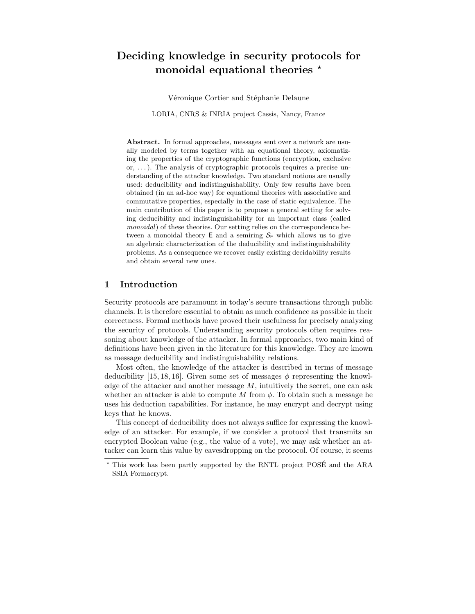# Deciding knowledge in security protocols for monoidal equational theories  $\star$

Véronique Cortier and Stéphanie Delaune

LORIA, CNRS & INRIA project Cassis, Nancy, France

Abstract. In formal approaches, messages sent over a network are usually modeled by terms together with an equational theory, axiomatizing the properties of the cryptographic functions (encryption, exclusive or,  $\dots$ ). The analysis of cryptographic protocols requires a precise understanding of the attacker knowledge. Two standard notions are usually used: deducibility and indistinguishability. Only few results have been obtained (in an ad-hoc way) for equational theories with associative and commutative properties, especially in the case of static equivalence. The main contribution of this paper is to propose a general setting for solving deducibility and indistinguishability for an important class (called monoidal) of these theories. Our setting relies on the correspondence between a monoidal theory  $E$  and a semiring  $S_E$  which allows us to give an algebraic characterization of the deducibility and indistinguishability problems. As a consequence we recover easily existing decidability results and obtain several new ones.

### 1 Introduction

Security protocols are paramount in today's secure transactions through public channels. It is therefore essential to obtain as much confidence as possible in their correctness. Formal methods have proved their usefulness for precisely analyzing the security of protocols. Understanding security protocols often requires reasoning about knowledge of the attacker. In formal approaches, two main kind of definitions have been given in the literature for this knowledge. They are known as message deducibility and indistinguishability relations.

Most often, the knowledge of the attacker is described in terms of message deducibility [15, 18, 16]. Given some set of messages  $\phi$  representing the knowledge of the attacker and another message  $M$ , intuitively the secret, one can ask whether an attacker is able to compute M from  $\phi$ . To obtain such a message he uses his deduction capabilities. For instance, he may encrypt and decrypt using keys that he knows.

This concept of deducibility does not always suffice for expressing the knowledge of an attacker. For example, if we consider a protocol that transmits an encrypted Boolean value (e.g., the value of a vote), we may ask whether an attacker can learn this value by eavesdropping on the protocol. Of course, it seems

This work has been partly supported by the RNTL project POSÉ and the ARA SSIA Formacrypt.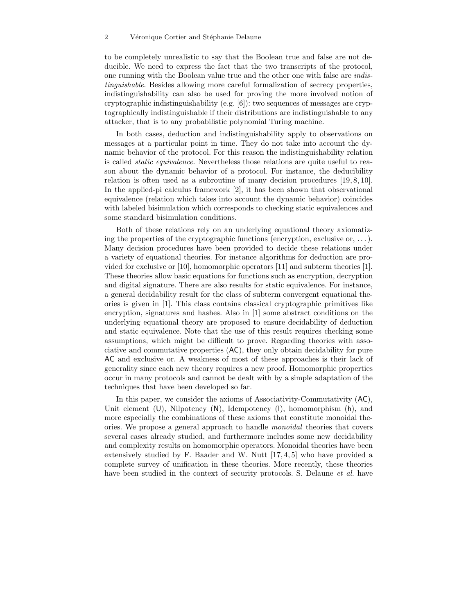#### 2 Véronique Cortier and Stéphanie Delaune

to be completely unrealistic to say that the Boolean true and false are not deducible. We need to express the fact that the two transcripts of the protocol, one running with the Boolean value true and the other one with false are indistinguishable. Besides allowing more careful formalization of secrecy properties, indistinguishability can also be used for proving the more involved notion of cryptographic indistinguishability (e.g.  $[6]$ ): two sequences of messages are cryptographically indistinguishable if their distributions are indistinguishable to any attacker, that is to any probabilistic polynomial Turing machine.

In both cases, deduction and indistinguishability apply to observations on messages at a particular point in time. They do not take into account the dynamic behavior of the protocol. For this reason the indistinguishability relation is called static equivalence. Nevertheless those relations are quite useful to reason about the dynamic behavior of a protocol. For instance, the deducibility relation is often used as a subroutine of many decision procedures [19, 8, 10]. In the applied-pi calculus framework [2], it has been shown that observational equivalence (relation which takes into account the dynamic behavior) coincides with labeled bisimulation which corresponds to checking static equivalences and some standard bisimulation conditions.

Both of these relations rely on an underlying equational theory axiomatizing the properties of the cryptographic functions (encryption, exclusive or,  $\dots$ ). Many decision procedures have been provided to decide these relations under a variety of equational theories. For instance algorithms for deduction are provided for exclusive or [10], homomorphic operators [11] and subterm theories [1]. These theories allow basic equations for functions such as encryption, decryption and digital signature. There are also results for static equivalence. For instance, a general decidability result for the class of subterm convergent equational theories is given in [1]. This class contains classical cryptographic primitives like encryption, signatures and hashes. Also in [1] some abstract conditions on the underlying equational theory are proposed to ensure decidability of deduction and static equivalence. Note that the use of this result requires checking some assumptions, which might be difficult to prove. Regarding theories with associative and commutative properties (AC), they only obtain decidability for pure AC and exclusive or. A weakness of most of these approaches is their lack of generality since each new theory requires a new proof. Homomorphic properties occur in many protocols and cannot be dealt with by a simple adaptation of the techniques that have been developed so far.

In this paper, we consider the axioms of Associativity-Commutativity (AC), Unit element (U), Nilpotency (N), Idempotency (I), homomorphism (h), and more especially the combinations of these axioms that constitute monoidal theories. We propose a general approach to handle monoidal theories that covers several cases already studied, and furthermore includes some new decidability and complexity results on homomorphic operators. Monoidal theories have been extensively studied by F. Baader and W. Nutt [17, 4, 5] who have provided a complete survey of unification in these theories. More recently, these theories have been studied in the context of security protocols. S. Delaune *et al.* have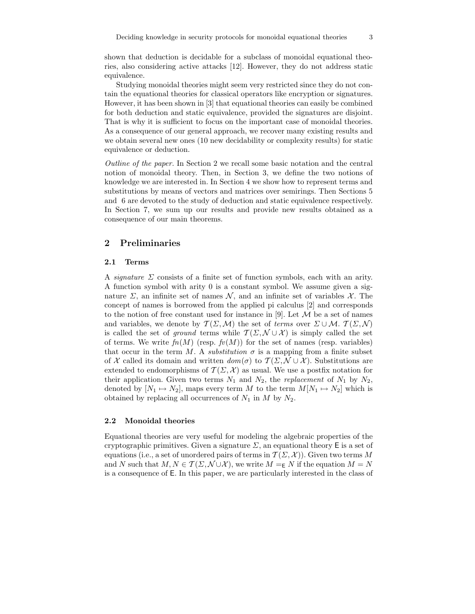shown that deduction is decidable for a subclass of monoidal equational theories, also considering active attacks [12]. However, they do not address static equivalence.

Studying monoidal theories might seem very restricted since they do not contain the equational theories for classical operators like encryption or signatures. However, it has been shown in [3] that equational theories can easily be combined for both deduction and static equivalence, provided the signatures are disjoint. That is why it is sufficient to focus on the important case of monoidal theories. As a consequence of our general approach, we recover many existing results and we obtain several new ones (10 new decidability or complexity results) for static equivalence or deduction.

Outline of the paper. In Section 2 we recall some basic notation and the central notion of monoidal theory. Then, in Section 3, we define the two notions of knowledge we are interested in. In Section 4 we show how to represent terms and substitutions by means of vectors and matrices over semirings. Then Sections 5 and 6 are devoted to the study of deduction and static equivalence respectively. In Section 7, we sum up our results and provide new results obtained as a consequence of our main theorems.

### 2 Preliminaries

#### 2.1 Terms

A *signature*  $\Sigma$  consists of a finite set of function symbols, each with an arity. A function symbol with arity 0 is a constant symbol. We assume given a signature  $\Sigma$ , an infinite set of names  $\mathcal N$ , and an infinite set of variables  $\mathcal X$ . The concept of names is borrowed from the applied pi calculus [2] and corresponds to the notion of free constant used for instance in [9]. Let  $\mathcal M$  be a set of names and variables, we denote by  $\mathcal{T}(\Sigma,\mathcal{M})$  the set of terms over  $\Sigma \cup \mathcal{M}$ .  $\mathcal{T}(\Sigma,\mathcal{N})$ is called the set of ground terms while  $\mathcal{T}(\Sigma,\mathcal{N}\cup\mathcal{X})$  is simply called the set of terms. We write  $fn(M)$  (resp.  $fv(M)$ ) for the set of names (resp. variables) that occur in the term M. A *substitution*  $\sigma$  is a mapping from a finite subset of X called its domain and written  $dom(\sigma)$  to  $\mathcal{T}(\Sigma,\mathcal{N}\cup\mathcal{X})$ . Substitutions are extended to endomorphisms of  $\mathcal{T}(\Sigma, \mathcal{X})$  as usual. We use a postfix notation for their application. Given two terms  $N_1$  and  $N_2$ , the *replacement* of  $N_1$  by  $N_2$ , denoted by  $[N_1 \mapsto N_2]$ , maps every term M to the term  $M[N_1 \mapsto N_2]$  which is obtained by replacing all occurrences of  $N_1$  in M by  $N_2$ .

#### 2.2 Monoidal theories

Equational theories are very useful for modeling the algebraic properties of the cryptographic primitives. Given a signature  $\Sigma$ , an equational theory E is a set of equations (i.e., a set of unordered pairs of terms in  $\mathcal{T}(\Sigma,\mathcal{X})$ ). Given two terms M and N such that  $M, N \in \mathcal{T}(\Sigma, \mathcal{N} \cup \mathcal{X})$ , we write  $M = K$  if the equation  $M = N$ is a consequence of E. In this paper, we are particularly interested in the class of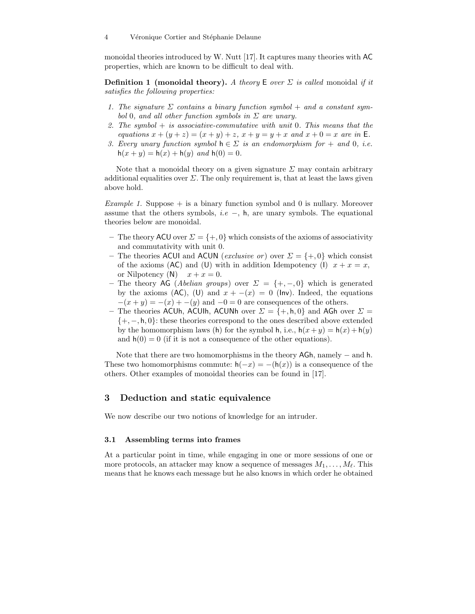monoidal theories introduced by W. Nutt [17]. It captures many theories with AC properties, which are known to be difficult to deal with.

**Definition 1** (monoidal theory). A theory E over  $\Sigma$  is called monoidal if it satisfies the following properties:

- 1. The signature  $\Sigma$  contains a binary function symbol + and a constant symbol 0, and all other function symbols in  $\Sigma$  are unary.
- 2. The symbol  $+$  is associative-commutative with unit 0. This means that the equations  $x + (y + z) = (x + y) + z$ ,  $x + y = y + x$  and  $x + 0 = x$  are in E.
- 3. Every unary function symbol  $h \in \Sigma$  is an endomorphism for  $+$  and 0, i.e.  $h(x + y) = h(x) + h(y)$  and  $h(0) = 0$ .

Note that a monoidal theory on a given signature  $\Sigma$  may contain arbitrary additional equalities over  $\Sigma$ . The only requirement is, that at least the laws given above hold.

*Example 1.* Suppose  $+$  is a binary function symbol and 0 is nullary. Moreover assume that the others symbols,  $i.e -$ , h, are unary symbols. The equational theories below are monoidal.

- The theory ACU over  $\Sigma = \{+,0\}$  which consists of the axioms of associativity and commutativity with unit 0.
- The theories ACUI and ACUN (exclusive or) over  $\Sigma = \{+,0\}$  which consist of the axioms (AC) and (U) with in addition Idempotency (I)  $x + x = x$ , or Nilpotency  $(N)$   $x + x = 0$ .
- The theory AG (Abelian groups) over  $\Sigma = \{+, -, 0\}$  which is generated by the axioms (AC), (U) and  $x + -(x) = 0$  (lnv). Indeed, the equations  $-(x + y) = -(x) + -(y)$  and  $-0 = 0$  are consequences of the others.
- The theories ACUh, ACUIh, ACUNh over  $\Sigma = \{+, \mathsf{h}, \mathsf{0}\}\$  and AGh over  $\Sigma =$ {+, −, h, 0}: these theories correspond to the ones described above extended by the homomorphism laws (h) for the symbol h, i.e.,  $h(x + y) = h(x) + h(y)$ and  $h(0) = 0$  (if it is not a consequence of the other equations).

Note that there are two homomorphisms in the theory AGh, namely − and h. These two homomorphisms commute:  $h(-x) = -h(x)$  is a consequence of the others. Other examples of monoidal theories can be found in [17].

### 3 Deduction and static equivalence

We now describe our two notions of knowledge for an intruder.

#### 3.1 Assembling terms into frames

At a particular point in time, while engaging in one or more sessions of one or more protocols, an attacker may know a sequence of messages  $M_1, \ldots, M_\ell$ . This means that he knows each message but he also knows in which order he obtained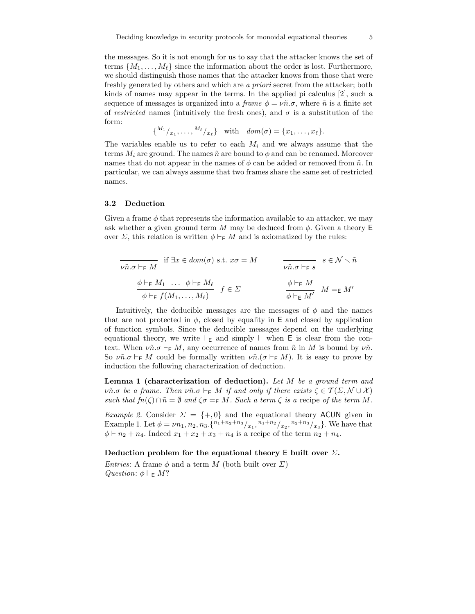the messages. So it is not enough for us to say that the attacker knows the set of terms  $\{M_1, \ldots, M_\ell\}$  since the information about the order is lost. Furthermore, we should distinguish those names that the attacker knows from those that were freshly generated by others and which are a priori secret from the attacker; both kinds of names may appear in the terms. In the applied pi calculus [2], such a sequence of messages is organized into a frame  $\phi = \nu \tilde{n} \cdot \sigma$ , where  $\tilde{n}$  is a finite set of restricted names (intuitively the fresh ones), and  $\sigma$  is a substitution of the form:

 ${M_1 \choose x_1, \ldots, M_\ell}_{x_\ell}$  with  $dom(\sigma) = \{x_1, \ldots, x_\ell\}.$ 

The variables enable us to refer to each  $M_i$  and we always assume that the terms  $M_i$  are ground. The names  $\tilde{n}$  are bound to  $\phi$  and can be renamed. Moreover names that do not appear in the names of  $\phi$  can be added or removed from  $\tilde{n}$ . In particular, we can always assume that two frames share the same set of restricted names.

#### 3.2 Deduction

Given a frame  $\phi$  that represents the information available to an attacker, we may ask whether a given ground term M may be deduced from  $\phi$ . Given a theory E over  $\Sigma$ , this relation is written  $\phi \vdash_{\mathsf{E}} M$  and is axiomatized by the rules:

$$
\overline{\nu \tilde{n}.\sigma \vdash_{\mathsf{E}} M} \quad \text{if } \exists x \in dom(\sigma) \text{ s.t. } x\sigma = M \qquad \qquad \overline{\nu \tilde{n}.\sigma \vdash_{\mathsf{E}} s} \quad s \in \mathcal{N} \setminus \tilde{n}
$$
\n
$$
\frac{\phi \vdash_{\mathsf{E}} M_1 \dots \phi \vdash_{\mathsf{E}} M_\ell}{\phi \vdash_{\mathsf{E}} f(M_1, \dots, M_\ell)} \quad f \in \Sigma \qquad \qquad \frac{\phi \vdash_{\mathsf{E}} M}{\phi \vdash_{\mathsf{E}} M'} \quad M =_{\mathsf{E}} M'
$$

Intuitively, the deducible messages are the messages of  $\phi$  and the names that are not protected in  $\phi$ , closed by equality in E and closed by application of function symbols. Since the deducible messages depend on the underlying equational theory, we write  $\vdash_{\mathsf{E}}$  and simply  $\vdash$  when E is clear from the context. When  $\nu\tilde{n}.\sigma \vdash_{\mathsf{F}} M$ , any occurrence of names from  $\tilde{n}$  in M is bound by  $\nu\tilde{n}$ . So  $\nu\tilde{n}.\sigma \vdash_{\mathsf{E}} M$  could be formally written  $\nu\tilde{n}.(\sigma \vdash_{\mathsf{E}} M)$ . It is easy to prove by induction the following characterization of deduction.

**Lemma 1 (characterization of deduction).** Let  $M$  be a ground term and  $\nu\tilde{n}.\sigma$  be a frame. Then  $\nu\tilde{n}.\sigma ⊢$ <sub>E</sub> M if and only if there exists  $\zeta \in \mathcal{T}(\Sigma,\mathcal{N} \cup \mathcal{X})$ such that  $fn(\zeta) \cap \tilde{n} = \emptyset$  and  $\zeta \sigma =_{\mathsf{E}} M$ . Such a term  $\zeta$  is a recipe of the term M.

*Example 2.* Consider  $\Sigma = \{+,0\}$  and the equational theory ACUN given in Example 1. Let  $\phi = \nu n_1, n_2, n_3$ .  $\{n_1+n_2+n_3/n_1, n_1+n_2/n_2, n_2+n_3/n_3\}$ . We have that  $\phi \vdash n_2 + n_4$ . Indeed  $x_1 + x_2 + x_3 + n_4$  is a recipe of the term  $n_2 + n_4$ .

Deduction problem for the equational theory E built over  $\Sigma$ .

*Entries:* A frame  $\phi$  and a term M (both built over  $\Sigma$ ) Question:  $\phi \vdash_{\mathsf{E}} M$ ?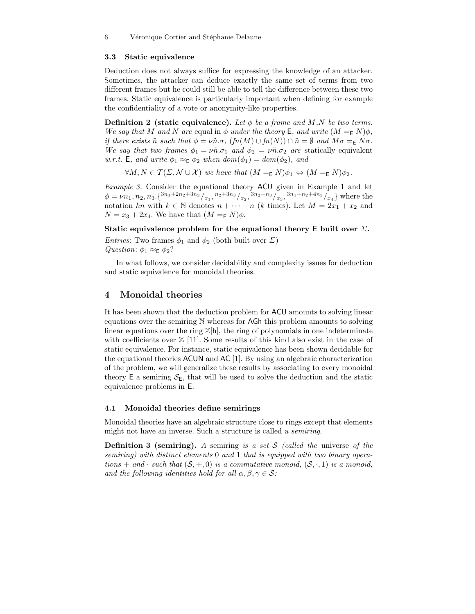6 Véronique Cortier and Stéphanie Delaune

#### 3.3 Static equivalence

Deduction does not always suffice for expressing the knowledge of an attacker. Sometimes, the attacker can deduce exactly the same set of terms from two different frames but he could still be able to tell the difference between these two frames. Static equivalence is particularly important when defining for example the confidentiality of a vote or anonymity-like properties.

**Definition 2** (static equivalence). Let  $\phi$  be a frame and M,N be two terms. We say that M and N are equal in  $\phi$  under the theory E, and write  $(M = E N)\phi$ , if there exists  $\tilde{n}$  such that  $\phi = \nu \tilde{n} \cdot \sigma$ ,  $(fn(M) \cup fn(N)) \cap \tilde{n} = \emptyset$  and  $M\sigma =_{\mathsf{E}} N\sigma$ . We say that two frames  $\phi_1 = \nu \tilde{n} \cdot \sigma_1$  and  $\phi_2 = \nu \tilde{n} \cdot \sigma_2$  are statically equivalent w.r.t. E, and write  $\phi_1 \approx_{\mathsf{E}} \phi_2$  when  $dom(\phi_1) = dom(\phi_2)$ , and

 $\forall M, N \in \mathcal{T}(\Sigma, \mathcal{N} \cup \mathcal{X})$  we have that  $(M =_{\mathsf{E}} N)\phi_1 \Leftrightarrow (M =_{\mathsf{E}} N)\phi_2$ .

Example 3. Consider the equational theory ACU given in Example 1 and let  $\phi = \nu n_1, n_2, n_3. \{^{3n_1+2n_2+3n_3}/x_1, {^{n_2+3n_3}}/x_2, {^{3n_2+n_3}}/x_3, {^{3n_1+n_2+4n_3}}/x_4\}$  where the notation kn with  $k \in \mathbb{N}$  denotes  $n + \cdots + n$  (k times). Let  $M = 2x_1 + x_2$  and  $N = x_3 + 2x_4$ . We have that  $(M =_{\mathsf{E}} N)\phi$ .

Static equivalence problem for the equational theory E built over  $\Sigma$ .

*Entries*: Two frames  $\phi_1$  and  $\phi_2$  (both built over  $\Sigma$ ) Question:  $\phi_1 \approx_{\mathsf{E}} \phi_2$ ?

In what follows, we consider decidability and complexity issues for deduction and static equivalence for monoidal theories.

### 4 Monoidal theories

It has been shown that the deduction problem for ACU amounts to solving linear equations over the semiring N whereas for AGh this problem amounts to solving linear equations over the ring  $\mathbb{Z}[h]$ , the ring of polynomials in one indeterminate with coefficients over  $\mathbb{Z}$  [11]. Some results of this kind also exist in the case of static equivalence. For instance, static equivalence has been shown decidable for the equational theories ACUN and AC [1]. By using an algebraic characterization of the problem, we will generalize these results by associating to every monoidal theory  $E$  a semiring  $S_E$ , that will be used to solve the deduction and the static equivalence problems in E.

#### 4.1 Monoidal theories define semirings

Monoidal theories have an algebraic structure close to rings except that elements might not have an inverse. Such a structure is called a semiring.

**Definition 3 (semiring).** A semiring is a set S (called the universe of the semiring) with distinct elements 0 and 1 that is equipped with two binary operations + and · such that  $(S, +, 0)$  is a commutative monoid,  $(S, \cdot, 1)$  is a monoid, and the following identities hold for all  $\alpha, \beta, \gamma \in \mathcal{S}$ :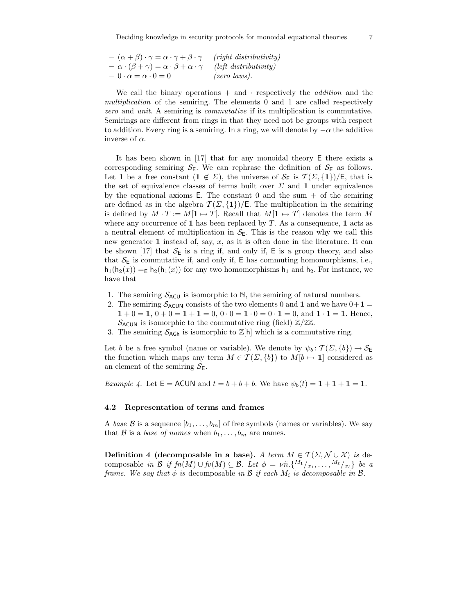| $-(\alpha+\beta)\cdot\gamma=\alpha\cdot\gamma+\beta\cdot\gamma$             | $(right$ distributivity)   |
|-----------------------------------------------------------------------------|----------------------------|
| $-\alpha \cdot (\beta + \gamma) = \alpha \cdot \beta + \alpha \cdot \gamma$ | $(left \; distributivity)$ |
| $-0 \cdot \alpha = \alpha \cdot 0 = 0$                                      | $(zero \; laws).$          |

We call the binary operations  $+$  and  $\cdot$  respectively the *addition* and the multiplication of the semiring. The elements 0 and 1 are called respectively zero and unit. A semiring is commutative if its multiplication is commutative. Semirings are different from rings in that they need not be groups with respect to addition. Every ring is a semiring. In a ring, we will denote by  $-\alpha$  the additive inverse of  $\alpha$ .

It has been shown in [17] that for any monoidal theory E there exists a corresponding semiring  $S_{\text{E}}$ . We can rephrase the definition of  $S_{\text{E}}$  as follows. Let 1 be a free constant  $(1 \notin \Sigma)$ , the universe of  $\mathcal{S}_E$  is  $\mathcal{T}(\Sigma, \{1\})/E$ , that is the set of equivalence classes of terms built over  $\Sigma$  and 1 under equivalence by the equational axioms  $E$ . The constant 0 and the sum  $+$  of the semiring are defined as in the algebra  $\mathcal{T}(\Sigma, \{1\})/E$ . The multiplication in the semiring is defined by  $M \cdot T := M[1 \mapsto T]$ . Recall that  $M[1 \mapsto T]$  denotes the term M where any occurrence of 1 has been replaced by  $T$ . As a consequence, 1 acts as a neutral element of multiplication in  $S_{\text{E}}$ . This is the reason why we call this new generator  $1$  instead of, say,  $x$ , as it is often done in the literature. It can be shown [17] that  $S_{\rm E}$  is a ring if, and only if, E is a group theory, and also that  $S_{\mathsf{E}}$  is commutative if, and only if,  $\mathsf{E}$  has commuting homomorphisms, i.e.,  $h_1(h_2(x)) = E h_2(h_1(x))$  for any two homomorphisms  $h_1$  and  $h_2$ . For instance, we have that

- 1. The semiring  $\mathcal{S}_{ACU}$  is isomorphic to N, the semiring of natural numbers.
- 2. The semiring  $S_{ACUN}$  consists of the two elements 0 and 1 and we have  $0+1=$  $1 + 0 = 1$ ,  $0 + 0 = 1 + 1 = 0$ ,  $0 \cdot 0 = 1 \cdot 0 = 0 \cdot 1 = 0$ , and  $1 \cdot 1 = 1$ . Hence,  $\mathcal{S}_{\text{ACUN}}$  is isomorphic to the commutative ring (field)  $\mathbb{Z}/2\mathbb{Z}$ .
- 3. The semiring  $S_{AGh}$  is isomorphic to  $\mathbb{Z}[h]$  which is a commutative ring.

Let b be a free symbol (name or variable). We denote by  $\psi_b : \mathcal{T}(\Sigma, \{b\}) \to \mathcal{S}_{\mathsf{E}}$ the function which maps any term  $M \in \mathcal{T}(\Sigma, \{b\})$  to  $M[b \mapsto 1]$  considered as an element of the semiring  $S_{\text{E}}$ .

*Example 4.* Let  $E = ACUN$  and  $t = b + b + b$ . We have  $\psi_b(t) = 1 + 1 + 1 = 1$ .

#### 4.2 Representation of terms and frames

A base B is a sequence  $[b_1, \ldots, b_m]$  of free symbols (names or variables). We say that B is a base of names when  $b_1, \ldots, b_m$  are names.

**Definition 4 (decomposable in a base).** A term  $M \in \mathcal{T}(\Sigma, \mathcal{N} \cup \mathcal{X})$  is decomposable in B if  $f_n(M) \cup f_v(M) \subseteq \mathcal{B}$ . Let  $\phi = \nu \tilde{n} \cdot \{M_1 / x_1, \ldots, M_\ell / x_\ell\}$  be a frame. We say that  $\phi$  is decomposable in  $\mathcal B$  if each  $M_i$  is decomposable in  $\mathcal B$ .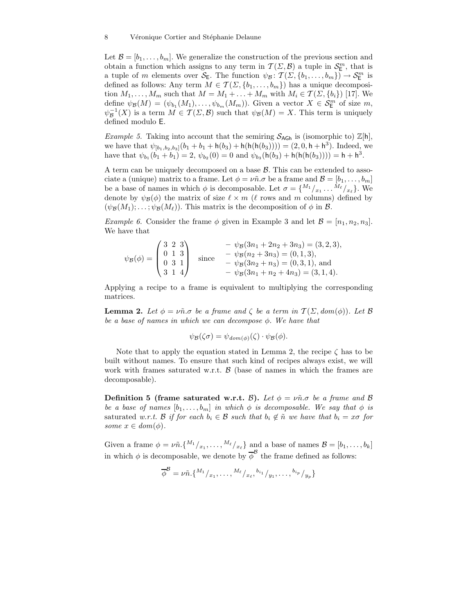#### 8 Véronique Cortier and Stéphanie Delaune

Let  $\mathcal{B} = [b_1, \ldots, b_m]$ . We generalize the construction of the previous section and obtain a function which assigns to any term in  $\mathcal{T}(\Sigma,\mathcal{B})$  a tuple in  $\mathcal{S}_{\mathsf{E}}^m$ , that is a tuple of m elements over  $S_{\text{E}}$ . The function  $\psi_{\mathcal{B}}$ :  $\mathcal{T}(\Sigma, \{b_1, \ldots, b_m\}) \to S_{\text{E}}^m$  is defined as follows: Any term  $M \in \mathcal{T}(\Sigma, \{b_1, \ldots, b_m\})$  has a unique decomposition  $M_1, \ldots, M_m$  such that  $M = M_1 + \ldots + M_m$  with  $M_i \in \mathcal{T}(\Sigma, \{b_i\})$  [17]. We define  $\psi_{\mathcal{B}}(M) = (\psi_{b_1}(M_1), \ldots, \psi_{b_m}(M_m)).$  Given a vector  $X \in \mathcal{S}_{\mathsf{E}}^m$  of size m,  $\psi_B^{-1}(X)$  is a term  $M \in \mathcal{T}(\Sigma, \mathcal{B})$  such that  $\psi_B(M) = X$ . This term is uniquely defined modulo E.

*Example 5.* Taking into account that the semiring  $S_{AGh}$  is (isomorphic to)  $\mathbb{Z}[h]$ , we have that  $\psi_{[b_1,b_2,b_3]}(b_1+b_1+h(b_3)+h(h(h(b_3))))=(2,0,h+h^3)$ . Indeed, we have that  $\psi_{b_1}(b_1 + b_1) = 2$ ,  $\psi_{b_2}(0) = 0$  and  $\psi_{b_3}(\mathsf{h}(b_3) + \mathsf{h}(\mathsf{h}(\mathsf{h}(b_3)))) = \mathsf{h} + \mathsf{h}^3$ .

A term can be uniquely decomposed on a base  $\beta$ . This can be extended to associate a (unique) matrix to a frame. Let  $\phi = \nu \tilde{n} \cdot \sigma$  be a frame and  $\mathcal{B} = [b_1, \ldots, b_m]$ be a base of names in which  $\phi$  is decomposable. Let  $\sigma = \{M_1/_{x_1} \ldots M_\ell/_{x_\ell}\}$ . We denote by  $\psi_B(\phi)$  the matrix of size  $\ell \times m$  ( $\ell$  rows and m columns) defined by  $(\psi_{\mathcal{B}}(M_1); \ldots; \psi_{\mathcal{B}}(M_\ell))$ . This matrix is the decomposition of  $\phi$  in  $\mathcal{B}$ .

*Example 6.* Consider the frame  $\phi$  given in Example 3 and let  $\mathcal{B} = [n_1, n_2, n_3]$ . We have that

$$
\psi_{\mathcal{B}}(\phi) = \begin{pmatrix} 3 & 2 & 3 \\ 0 & 1 & 3 \\ 0 & 3 & 1 \\ 3 & 1 & 4 \end{pmatrix} \text{ since } \begin{aligned} -\psi_{\mathcal{B}}(3n_1 + 2n_2 + 3n_3) &= (3, 2, 3), \\ -\psi_{\mathcal{B}}(n_2 + 3n_3) &= (0, 1, 3), \\ -\psi_{\mathcal{B}}(3n_2 + n_3) &= (0, 3, 1), \text{ and } \\ -\psi_{\mathcal{B}}(3n_1 + n_2 + 4n_3) &= (3, 1, 4). \end{aligned}
$$

Applying a recipe to a frame is equivalent to multiplying the corresponding matrices.

**Lemma 2.** Let  $\phi = \nu \tilde{n} \sigma$  be a frame and  $\zeta$  be a term in  $\mathcal{T}(\Sigma, dom(\phi))$ . Let  $\mathcal{B}$ be a base of names in which we can decompose  $\phi$ . We have that

$$
\psi_{\mathcal{B}}(\zeta \sigma) = \psi_{dom(\phi)}(\zeta) \cdot \psi_{\mathcal{B}}(\phi).
$$

Note that to apply the equation stated in Lemma 2, the recipe  $\zeta$  has to be built without names. To ensure that such kind of recipes always exist, we will work with frames saturated w.r.t.  $\beta$  (base of names in which the frames are decomposable).

Definition 5 (frame saturated w.r.t. B). Let  $\phi = \nu \tilde{n} \sigma$  be a frame and B be a base of names  $[b_1, \ldots, b_m]$  in which  $\phi$  is decomposable. We say that  $\phi$  is saturated w.r.t. B if for each  $b_i \in \mathcal{B}$  such that  $b_i \notin \tilde{n}$  we have that  $b_i = x\sigma$  for some  $x \in dom(\phi)$ .

Given a frame  $\phi = \nu \tilde{n} \cdot \{M_1 / x_1, \ldots, M_\ell / x_\ell\}$  and a base of names  $\mathcal{B} = [b_1, \ldots, b_k]$ in which  $\phi$  is decomposable, we denote by  $\overline{\phi}^B$  the frame defined as follows:

$$
\overline{\phi}^{\mathcal{B}} = \nu \tilde{n}. \{ M_1 /_{x_1}, \ldots, M_\ell /_{x_\ell}, b_{i_1} /_{y_1}, \ldots, b_{i_p} /_{y_p} \}
$$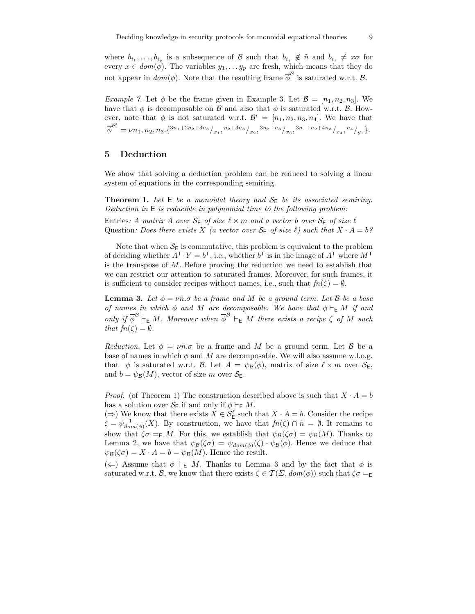where  $b_{i_1}, \ldots, b_{i_p}$  is a subsequence of B such that  $b_{i_j} \notin \tilde{n}$  and  $b_{i_j} \neq x\sigma$  for every  $x \in dom(\phi)$ . The variables  $y_1, \ldots y_p$  are fresh, which means that they do not appear in  $dom(\phi)$ . Note that the resulting frame  $\overline{\phi}^{\mathcal{B}}$  is saturated w.r.t.  $\mathcal{B}$ .

*Example 7.* Let  $\phi$  be the frame given in Example 3. Let  $\mathcal{B} = [n_1, n_2, n_3]$ . We have that  $\phi$  is decomposable on  $\beta$  and also that  $\phi$  is saturated w.r.t.  $\beta$ . However, note that  $\phi$  is not saturated w.r.t.  $\mathcal{B}' = [n_1, n_2, n_3, n_4]$ . We have that  $\overline{\phi}^{\mathcal{B}'}=\nu n_1,n_2,n_3. \lbrace^{3n_1+2n_2+3n_3}/{\textstyle \frac{n_2+3n_3}{x_1}}, \frac{3n_2+n_3}{x_2}, \frac{3n_1+n_2+4n_3}{x_3}, \frac{n_4}{y_4}, \frac{n_4}{y_1} \rbrace.$ 

### 5 Deduction

We show that solving a deduction problem can be reduced to solving a linear system of equations in the corresponding semiring.

**Theorem 1.** Let  $E$  be a monoidal theory and  $S_E$  be its associated semiring. Deduction in E is reducible in polynomial time to the following problem:

Entries: A matrix A over  $S_{\mathsf{E}}$  of size  $\ell \times m$  and a vector b over  $S_{\mathsf{E}}$  of size  $\ell$ Question: Does there exists X (a vector over  $S_{\mathsf{E}}$  of size  $\ell$ ) such that  $X \cdot A = b$ ?

Note that when  $S_{\text{E}}$  is commutative, this problem is equivalent to the problem of deciding whether  $A^{\mathsf{T}} \cdot Y = b^{\mathsf{T}}$ , i.e., whether  $b^{\mathsf{T}}$  is in the image of  $A^{\mathsf{T}}$  where  $M^{\mathsf{T}}$ is the transpose of  $M$ . Before proving the reduction we need to establish that we can restrict our attention to saturated frames. Moreover, for such frames, it is sufficient to consider recipes without names, i.e., such that  $fn(\zeta) = \emptyset$ .

**Lemma 3.** Let  $\phi = \nu \tilde{n} \sigma$  be a frame and M be a ground term. Let B be a base of names in which  $\phi$  and M are decomposable. We have that  $\phi \vdash_{\mathsf{E}} M$  if and only if  $\overline{\phi}^{\mathcal{B}} \vdash_{\mathsf{E}} M$ . Moreover when  $\overline{\phi}^{\mathcal{B}} \vdash_{\mathsf{E}} M$  there exists a recipe  $\zeta$  of M such that  $fn(\zeta) = \emptyset$ .

Reduction. Let  $\phi = \nu \tilde{n} \sigma$  be a frame and M be a ground term. Let B be a base of names in which  $\phi$  and M are decomposable. We will also assume w.l.o.g. that  $\phi$  is saturated w.r.t. B. Let  $A = \psi_B(\phi)$ , matrix of size  $\ell \times m$  over  $S_E$ , and  $b = \psi_{\mathcal{B}}(M)$ , vector of size m over  $\mathcal{S}_{\mathsf{E}}$ .

*Proof.* (of Theorem 1) The construction described above is such that  $X \cdot A = b$ has a solution over  $S_{\mathsf{E}}$  if and only if  $\phi \vdash_{\mathsf{E}} M$ .

(⇒) We know that there exists  $X \in \mathcal{S}_{\mathsf{E}}^{\ell}$  such that  $X \cdot A = b$ . Consider the recipe  $\zeta = \psi_{dom(\phi)}^{-1}(X)$ . By construction, we have that  $fn(\zeta) \cap \tilde{n} = \emptyset$ . It remains to show that  $\zeta \sigma =_{\mathsf{E}} M$ . For this, we establish that  $\psi_{\mathcal{B}}(\zeta \sigma) = \psi_{\mathcal{B}}(M)$ . Thanks to Lemma 2, we have that  $\psi_{\mathcal{B}}(\zeta \sigma) = \psi_{dom(\phi)}(\zeta) \cdot \psi_{\mathcal{B}}(\phi)$ . Hence we deduce that  $\psi_B(\zeta \sigma) = X \cdot A = b = \psi_B(M)$ . Hence the result.

(←) Assume that  $\phi \vdash_{\mathsf{E}} M$ . Thanks to Lemma 3 and by the fact that  $\phi$  is saturated w.r.t. B, we know that there exists  $\zeta \in \mathcal{T}(\Sigma, dom(\phi))$  such that  $\zeta \sigma =_{\mathsf{E}}$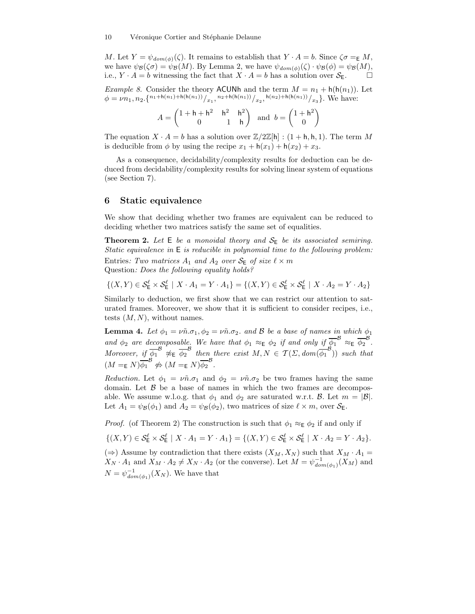M. Let  $Y = \psi_{dom(\phi)}(\zeta)$ . It remains to establish that  $Y \cdot A = b$ . Since  $\zeta \sigma =_{\mathsf{E}} M$ , we have  $\psi_{\mathcal{B}}(\zeta \sigma) = \psi_{\mathcal{B}}(M)$ . By Lemma 2, we have  $\psi_{dom(\phi)}(\zeta) \cdot \psi_{\mathcal{B}}(\phi) = \psi_{\mathcal{B}}(M)$ , i.e.,  $Y \cdot A = b$  witnessing the fact that  $X \cdot A = b$  has a solution over  $S_{\mathsf{E}}$ .

*Example 8.* Consider the theory ACUNh and the term  $M = n_1 + h(h(n_1))$ . Let  $\phi = \nu n_1, n_2$ ,  $\{n_1 + h(n_1) + h(h(n_1)) / \frac{n_1}{n_1}, n_2 + h(h(n_1)) / \frac{n_2}{n_2}, h(n_2) + h(h(n_1)) / \frac{n_3}{n_3}\}.$  We have:

$$
A = \begin{pmatrix} 1 + \mathsf{h} + \mathsf{h}^2 & \mathsf{h}^2 & \mathsf{h}^2 \\ 0 & 1 & \mathsf{h} \end{pmatrix} \text{ and } b = \begin{pmatrix} 1 + \mathsf{h}^2 \\ 0 \end{pmatrix}
$$

The equation  $X \cdot A = b$  has a solution over  $\mathbb{Z}/2\mathbb{Z}[\mathsf{h}] : (1 + \mathsf{h}, \mathsf{h}, 1)$ . The term M is deducible from  $\phi$  by using the recipe  $x_1 + h(x_1) + h(x_2) + x_3$ .

As a consequence, decidability/complexity results for deduction can be deduced from decidability/complexity results for solving linear system of equations (see Section 7).

### 6 Static equivalence

We show that deciding whether two frames are equivalent can be reduced to deciding whether two matrices satisfy the same set of equalities.

**Theorem 2.** Let E be a monoidal theory and  $S_{\text{E}}$  be its associated semiring. Static equivalence in E is reducible in polynomial time to the following problem: Entries: Two matrices  $A_1$  and  $A_2$  over  $S_{\mathsf{E}}$  of size  $\ell \times m$ 

Question: Does the following equality holds?

$$
\{(X,Y)\in\mathcal{S}^{\ell}_{\mathsf{E}}\times\mathcal{S}^{\ell}_{\mathsf{E}}\mid X\cdot A_1=Y\cdot A_1\}=\{(X,Y)\in\mathcal{S}^{\ell}_{\mathsf{E}}\times\mathcal{S}^{\ell}_{\mathsf{E}}\mid X\cdot A_2=Y\cdot A_2\}
$$

Similarly to deduction, we first show that we can restrict our attention to saturated frames. Moreover, we show that it is sufficient to consider recipes, i.e., tests  $(M, N)$ , without names.

**Lemma 4.** Let  $\phi_1 = \nu \tilde{n} \cdot \sigma_1$ ,  $\phi_2 = \nu \tilde{n} \cdot \sigma_2$ . and B be a base of names in which  $\phi_1$ and  $\phi_2$  are decomposable. We have that  $\phi_1 \approx_{\mathsf{E}} \phi_2$  if and only if  $\overline{\phi_1}^{\mathcal{B}} \approx_{\mathsf{E}} \overline{\phi_2}^{\mathcal{B}}$ . Moreover, if  $\overline{\phi_1}^B \not\approx_E \overline{\phi_2}^B$  then there exist  $M, N \in \mathcal{T}(\Sigma, dom(\overline{\phi_1}^B))$  such that  $(M =_{\mathsf{E}} N) \overline{\phi_1}^{\mathcal{B}} \not\Leftrightarrow (M =_{\mathsf{E}} N) \overline{\phi_2}^{\mathcal{B}}.$ 

Reduction. Let  $\phi_1 = \nu \tilde{n} \cdot \sigma_1$  and  $\phi_2 = \nu \tilde{n} \cdot \sigma_2$  be two frames having the same domain. Let  $\beta$  be a base of names in which the two frames are decomposable. We assume w.l.o.g. that  $\phi_1$  and  $\phi_2$  are saturated w.r.t. B. Let  $m = |\mathcal{B}|$ . Let  $A_1 = \psi_B(\phi_1)$  and  $A_2 = \psi_B(\phi_2)$ , two matrices of size  $\ell \times m$ , over  $\mathcal{S}_E$ .

*Proof.* (of Theorem 2) The construction is such that  $\phi_1 \approx_{\mathsf{E}} \phi_2$  if and only if

$$
\{(X,Y)\in\mathcal{S}^{\ell}_{\mathsf{E}}\times\mathcal{S}^{\ell}_{\mathsf{E}}\mid X\cdot A_1=Y\cdot A_1\}=\{(X,Y)\in\mathcal{S}^{\ell}_{\mathsf{E}}\times\mathcal{S}^{\ell}_{\mathsf{E}}\mid X\cdot A_2=Y\cdot A_2\}.
$$

(⇒) Assume by contradiction that there exists  $(X_M, X_N)$  such that  $X_M \cdot A_1 =$  $X_N \cdot A_1$  and  $X_M \cdot A_2 \neq X_N \cdot A_2$  (or the converse). Let  $M = \psi_{dom(\phi_1)}^{-1}(X_M)$  and  $N = \psi_{dom(\phi_1)}^{-1}(X_N)$ . We have that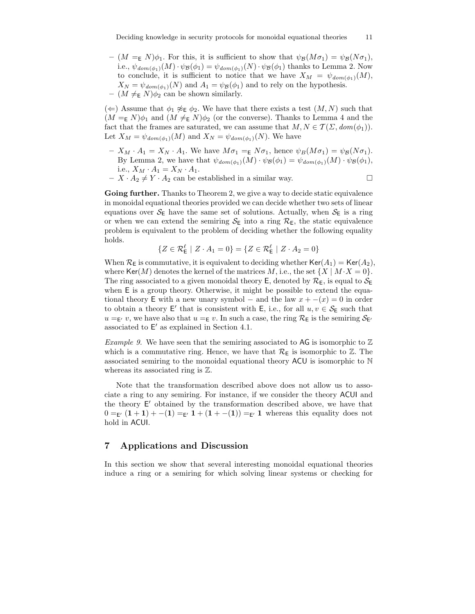–  $(M =_{\mathsf{E}} N)\phi_1$ . For this, it is sufficient to show that  $\psi_{\mathcal{B}}(M\sigma_1) = \psi_{\mathcal{B}}(N\sigma_1)$ , i.e.,  $\psi_{dom(\phi_1)}(M) \cdot \psi_{\mathcal{B}}(\phi_1) = \psi_{dom(\phi_1)}(N) \cdot \psi_{\mathcal{B}}(\phi_1)$  thanks to Lemma 2. Now to conclude, it is sufficient to notice that we have  $X_M = \psi_{dom(\phi_1)}(M)$ ,  $X_N = \psi_{dom(\phi_1)}(N)$  and  $A_1 = \psi_B(\phi_1)$  and to rely on the hypothesis. –  $(M \neq_{\mathsf{E}} N)\phi_2$  can be shown similarly.

(←) Assume that  $\phi_1 \not\approx_{\mathsf{E}} \phi_2$ . We have that there exists a test  $(M, N)$  such that  $(M =_{\mathsf{E}} N)\phi_1$  and  $(M \neq_{\mathsf{E}} N)\phi_2$  (or the converse). Thanks to Lemma 4 and the fact that the frames are saturated, we can assume that  $M, N \in \mathcal{T}(\Sigma, dom(\phi_1)).$ Let  $X_M = \psi_{dom(\phi_1)}(M)$  and  $X_N = \psi_{dom(\phi_1)}(N)$ . We have

- $-X_M \cdot A_1 = X_N \cdot A_1$ . We have  $M\sigma_1 = K_{\sigma_1}$ , hence  $\psi_B(M\sigma_1) = \psi_B(N\sigma_1)$ . By Lemma 2, we have that  $\psi_{dom(\phi_1)}(M) \cdot \psi_{\mathcal{B}}(\phi_1) = \psi_{dom(\phi_1)}(M) \cdot \psi_{\mathcal{B}}(\phi_1)$ , i.e.,  $X_M \cdot A_1 = X_N \cdot A_1$ .
- $X \cdot A_2 \neq Y \cdot A_2$  can be established in a similar way.

Going further. Thanks to Theorem 2, we give a way to decide static equivalence in monoidal equational theories provided we can decide whether two sets of linear equations over  $S_{\text{E}}$  have the same set of solutions. Actually, when  $S_{\text{E}}$  is a ring or when we can extend the semiring  $S_{\text{E}}$  into a ring  $\mathcal{R}_{\text{E}}$ , the static equivalence problem is equivalent to the problem of deciding whether the following equality holds.

$$
\{Z \in \mathcal{R}^{\ell}_{\mathsf{E}} \mid Z \cdot A_1 = 0\} = \{Z \in \mathcal{R}^{\ell}_{\mathsf{E}} \mid Z \cdot A_2 = 0\}
$$

When  $\mathcal{R}_{\mathsf{E}}$  is commutative, it is equivalent to deciding whether  $\mathsf{Ker}(A_1) = \mathsf{Ker}(A_2)$ , where  $\text{Ker}(M)$  denotes the kernel of the matrices M, i.e., the set  $\{X \mid M \cdot X = 0\}$ . The ring associated to a given monoidal theory  $E$ , denoted by  $\mathcal{R}_E$ , is equal to  $\mathcal{S}_E$ when E is a group theory. Otherwise, it might be possible to extend the equational theory E with a new unary symbol – and the law  $x + -(x) = 0$  in order to obtain a theory E' that is consistent with E, i.e., for all  $u, v \in \mathcal{S}_{E}$  such that  $u =_{\mathsf{E}'} v$ , we have also that  $u =_{\mathsf{E}} v$ . In such a case, the ring  $\mathcal{R}_{\mathsf{E}}$  is the semiring  $\mathcal{S}_{\mathsf{E}'}$ associated to E ′ as explained in Section 4.1.

Example 9. We have seen that the semiring associated to AG is isomorphic to  $\mathbb Z$ which is a commutative ring. Hence, we have that  $\mathcal{R}_E$  is isomorphic to  $\mathbb{Z}$ . The associated semiring to the monoidal equational theory ACU is isomorphic to N whereas its associated ring is Z.

Note that the transformation described above does not allow us to associate a ring to any semiring. For instance, if we consider the theory ACUI and the theory E' obtained by the transformation described above, we have that  $0 =_{E'} (1 + 1) + (1) =_{E'} 1 + (1 + (1)) =_{E'} 1$  whereas this equality does not hold in ACUI.

### 7 Applications and Discussion

In this section we show that several interesting monoidal equational theories induce a ring or a semiring for which solving linear systems or checking for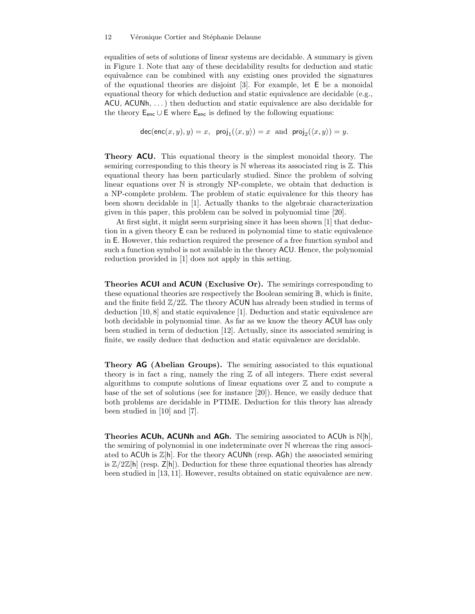equalities of sets of solutions of linear systems are decidable. A summary is given in Figure 1. Note that any of these decidability results for deduction and static equivalence can be combined with any existing ones provided the signatures of the equational theories are disjoint [3]. For example, let E be a monoidal equational theory for which deduction and static equivalence are decidable (e.g., ACU, ACUNh, . . . ) then deduction and static equivalence are also decidable for the theory  $E_{\text{enc}} \cup E$  where  $E_{\text{enc}}$  is defined by the following equations:

$$
\mathsf{dec}(\mathsf{enc}(x,y),y) = x, \ \ \mathsf{proj}_1(\langle x,y \rangle) = x \ \ \text{and} \ \ \mathsf{proj}_2(\langle x,y \rangle) = y.
$$

Theory ACU. This equational theory is the simplest monoidal theory. The semiring corresponding to this theory is  $\mathbb N$  whereas its associated ring is  $\mathbb Z$ . This equational theory has been particularly studied. Since the problem of solving linear equations over  $\mathbb N$  is strongly NP-complete, we obtain that deduction is a NP-complete problem. The problem of static equivalence for this theory has been shown decidable in [1]. Actually thanks to the algebraic characterization given in this paper, this problem can be solved in polynomial time [20].

At first sight, it might seem surprising since it has been shown [1] that deduction in a given theory E can be reduced in polynomial time to static equivalence in E. However, this reduction required the presence of a free function symbol and such a function symbol is not available in the theory ACU. Hence, the polynomial reduction provided in [1] does not apply in this setting.

Theories ACUI and ACUN (Exclusive Or). The semirings corresponding to these equational theories are respectively the Boolean semiring B, which is finite, and the finite field  $\mathbb{Z}/2\mathbb{Z}$ . The theory ACUN has already been studied in terms of deduction [10, 8] and static equivalence [1]. Deduction and static equivalence are both decidable in polynomial time. As far as we know the theory ACUI has only been studied in term of deduction [12]. Actually, since its associated semiring is finite, we easily deduce that deduction and static equivalence are decidable.

Theory AG (Abelian Groups). The semiring associated to this equational theory is in fact a ring, namely the ring  $\mathbb Z$  of all integers. There exist several algorithms to compute solutions of linear equations over  $\mathbb Z$  and to compute a base of the set of solutions (see for instance [20]). Hence, we easily deduce that both problems are decidable in PTIME. Deduction for this theory has already been studied in [10] and [7].

**Theories ACUh, ACUNh and AGh.** The semiring associated to ACUh is  $\mathbb{N}[h]$ , the semiring of polynomial in one indeterminate over N whereas the ring associated to  $ACUh$  is  $\mathbb{Z}[h]$ . For the theory  $ACUNh$  (resp.  $AGh$ ) the associated semiring is  $\mathbb{Z}/2\mathbb{Z}[\mathsf{h}]$  (resp.  $\mathsf{Z}[\mathsf{h}]$ ). Deduction for these three equational theories has already been studied in [13, 11]. However, results obtained on static equivalence are new.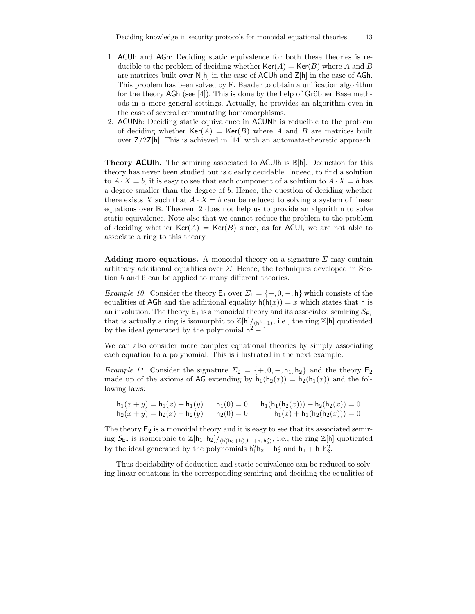- 1. ACUh and AGh: Deciding static equivalence for both these theories is reducible to the problem of deciding whether  $\text{Ker}(A) = \text{Ker}(B)$  where A and B are matrices built over  $N[h]$  in the case of ACUh and  $Z[h]$  in the case of AGh. This problem has been solved by F. Baader to obtain a unification algorithm for the theory  $AGh$  (see [4]). This is done by the help of Gröbner Base methods in a more general settings. Actually, he provides an algorithm even in the case of several commutating homomorphisms.
- 2. ACUNh: Deciding static equivalence in ACUNh is reducible to the problem of deciding whether  $Ker(A) = Ker(B)$  where A and B are matrices built over Z/2Z[h]. This is achieved in [14] with an automata-theoretic approach.

**Theory ACUII.** The semiring associated to ACUII is  $\mathbb{B}[h]$ . Deduction for this theory has never been studied but is clearly decidable. Indeed, to find a solution to  $A \cdot X = b$ , it is easy to see that each component of a solution to  $A \cdot X = b$  has a degree smaller than the degree of b. Hence, the question of deciding whether there exists X such that  $A \cdot X = b$  can be reduced to solving a system of linear equations over B. Theorem 2 does not help us to provide an algorithm to solve static equivalence. Note also that we cannot reduce the problem to the problem of deciding whether  $\text{Ker}(A) = \text{Ker}(B)$  since, as for ACUI, we are not able to associate a ring to this theory.

Adding more equations. A monoidal theory on a signature  $\Sigma$  may contain arbitrary additional equalities over  $\Sigma$ . Hence, the techniques developed in Section 5 and 6 can be applied to many different theories.

Example 10. Consider the theory  $\mathsf{E}_1$  over  $\Sigma_1 = \{+,0,-,\mathsf{h}\}\$  which consists of the equalities of AGh and the additional equality  $h(h(x)) = x$  which states that h is an involution. The theory  $E_1$  is a monoidal theory and its associated semiring  $S_{E_1}$ that is actually a ring is isomorphic to  $\mathbb{Z}[h] / (h^2-1)$ , i.e., the ring  $\mathbb{Z}[h]$  quotiented by the ideal generated by the polynomial  $h^2 - 1$ .

We can also consider more complex equational theories by simply associating each equation to a polynomial. This is illustrated in the next example.

Example 11. Consider the signature  $\Sigma_2 = \{+,0,-,h_1,h_2\}$  and the theory  $\mathsf{E}_2$ made up of the axioms of AG extending by  $h_1(h_2(x)) = h_2(h_1(x))$  and the following laws:

$$
h_1(x + y) = h_1(x) + h_1(y) \qquad h_1(0) = 0 \qquad h_1(h_1(h_2(x))) + h_2(h_2(x)) = 0
$$
  
\n
$$
h_2(x + y) = h_2(x) + h_2(y) \qquad h_2(0) = 0 \qquad h_1(x) + h_1(h_2(h_2(x))) = 0
$$

The theory  $\mathsf{E}_2$  is a monoidal theory and it is easy to see that its associated semiring  $\mathcal{S}_{\mathsf{E}_2}$  is isomorphic to  $\mathbb{Z}[\mathsf{h}_1, \mathsf{h}_2] / (\mathsf{h}_1^2 \mathsf{h}_2 + \mathsf{h}_2^2, \mathsf{h}_1 + \mathsf{h}_1 \mathsf{h}_2^2)$ , i.e., the ring  $\mathbb{Z}[\mathsf{h}]$  quotiented by the ideal generated by the polynomials  $h_1^2h_2 + h_2^2$  and  $h_1 + h_1h_2^2$ .

Thus decidability of deduction and static equivalence can be reduced to solving linear equations in the corresponding semiring and deciding the equalities of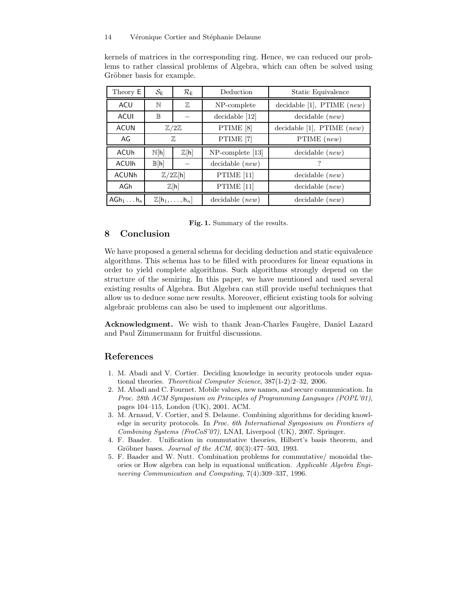| Theory E           | $\mathcal{S}_{\mathsf{E}}$           | $\mathcal{R}_{\mathsf{E}}$ | Deduction            | Static Equivalence           |  |
|--------------------|--------------------------------------|----------------------------|----------------------|------------------------------|--|
| <b>ACU</b>         | N                                    | $\mathbb{Z}$               | NP-complete          | decidable [1], PTIME $(new)$ |  |
| <b>ACUI</b>        | $\mathbb{B}$                         |                            | decidable [12]       | $decidable$ $(new)$          |  |
| <b>ACUN</b>        | $\mathbb{Z}/2\mathbb{Z}$             |                            | PTIME <sup>[8]</sup> | decidable [1], PTIME $(new)$ |  |
| AG                 | $\mathbb{Z}$                         |                            | PTIME [7]            | PTIME $(new)$                |  |
| <b>ACUh</b>        | N[h]                                 | $\mathbb{Z}[h]$            | $NP$ -complete [13]  | $decidable$ ( <i>new</i> )   |  |
| <b>ACUIh</b>       | $\mathbb{B}[\mathsf{h}]$             |                            | $decidable$ $(new)$  |                              |  |
| <b>ACUNh</b>       | $\mathbb{Z}/2\mathbb{Z}[\mathsf{h}]$ |                            | PTIME [11]           | $decidable$ ( <i>new</i> )   |  |
| AGh                | $\mathbb{Z}[\mathsf{h}]$             |                            | PTIME [11]           | $decidable$ ( <i>new</i> )   |  |
| $AGh_1 \ldots h_n$ | $\mathbb{Z}[h_1,\ldots,h_n]$         |                            | $decidable$ $(new)$  | $decidable$ ( <i>new</i> )   |  |

kernels of matrices in the corresponding ring. Hence, we can reduced our problems to rather classical problems of Algebra, which can often be solved using Gröbner basis for example.

|  | Fig. 1. Summary of the results. |  |  |
|--|---------------------------------|--|--|
|--|---------------------------------|--|--|

## 8 Conclusion

We have proposed a general schema for deciding deduction and static equivalence algorithms. This schema has to be filled with procedures for linear equations in order to yield complete algorithms. Such algorithms strongly depend on the structure of the semiring. In this paper, we have mentioned and used several existing results of Algebra. But Algebra can still provide useful techniques that allow us to deduce some new results. Moreover, efficient existing tools for solving algebraic problems can also be used to implement our algorithms.

Acknowledgment. We wish to thank Jean-Charles Faugère, Daniel Lazard and Paul Zimmermann for fruitful discussions.

### References

- 1. M. Abadi and V. Cortier. Deciding knowledge in security protocols under equational theories. Theoretical Computer Science, 387(1-2):2–32, 2006.
- 2. M. Abadi and C. Fournet. Mobile values, new names, and secure communication. In Proc. 28th ACM Symposium on Principles of Programming Languages (POPL'01), pages 104–115, London (UK), 2001. ACM.
- 3. M. Arnaud, V. Cortier, and S. Delaune. Combining algorithms for deciding knowledge in security protocols. In Proc. 6th International Symposium on Frontiers of Combining Systems (FroCoS'07), LNAI, Liverpool (UK), 2007. Springer.
- 4. F. Baader. Unification in commutative theories, Hilbert's basis theorem, and Gröbner bases. Journal of the  $ACM$ ,  $40(3):477-503$ , 1993.
- 5. F. Baader and W. Nutt. Combination problems for commutative/ monoidal theories or How algebra can help in equational unification. Applicable Algebra Engineering Communication and Computing, 7(4):309–337, 1996.